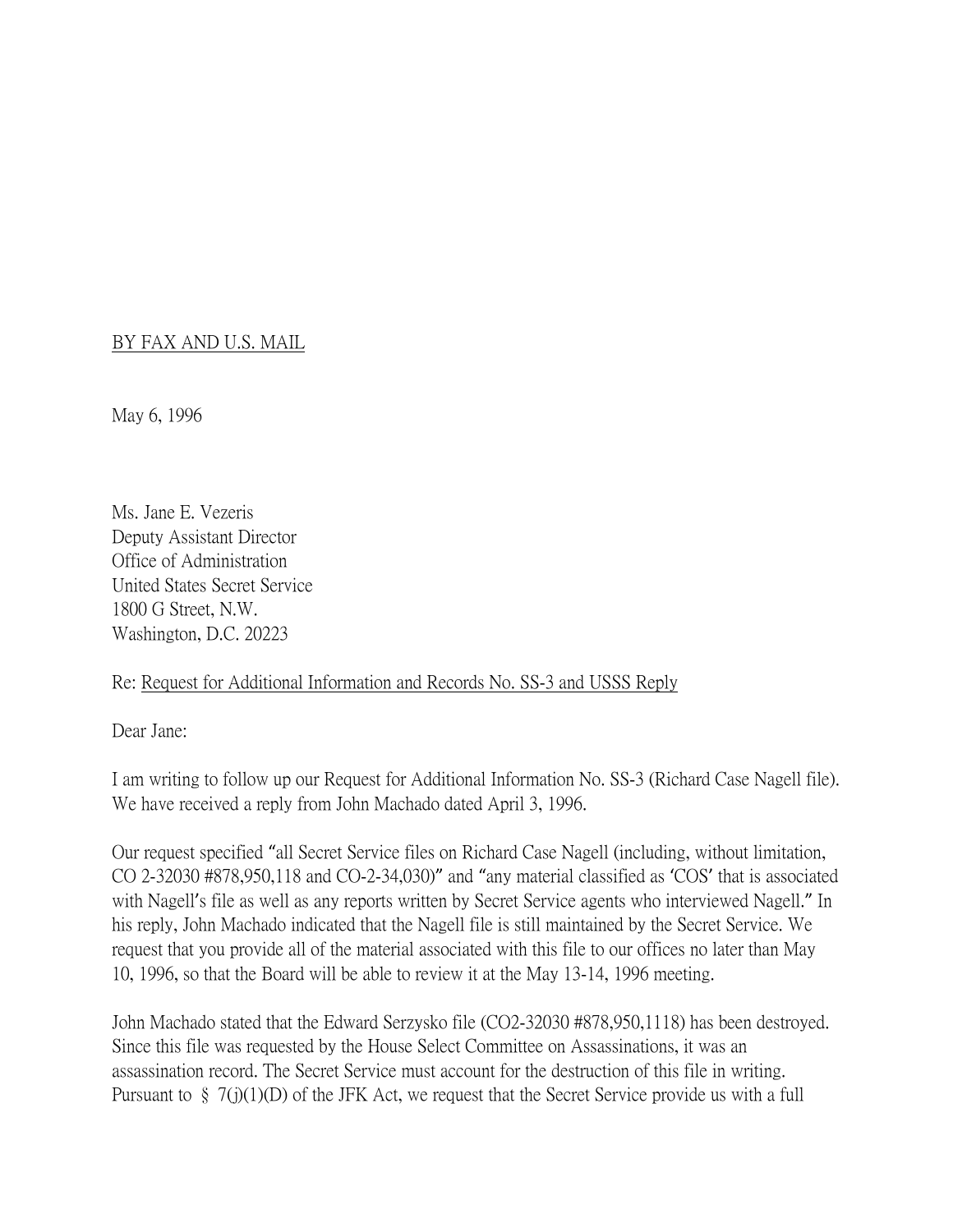## BY FAX AND U.S. MAIL

May 6, 1996

Ms. Jane E. Vezeris Deputy Assistant Director Office of Administration United States Secret Service 1800 G Street, N.W. Washington, D.C. 20223

## Re: Request for Additional Information and Records No. SS-3 and USSS Reply

Dear Jane:

I am writing to follow up our Request for Additional Information No. SS-3 (Richard Case Nagell file). We have received a reply from John Machado dated April 3, 1996.

Our request specified "all Secret Service files on Richard Case Nagell (including, without limitation, CO 2-32030 #878,950,118 and CO-2-34,030)" and "any material classified as 'COS' that is associated with Nagell's file as well as any reports written by Secret Service agents who interviewed Nagell." In his reply, John Machado indicated that the Nagell file is still maintained by the Secret Service. We request that you provide all of the material associated with this file to our offices no later than May 10, 1996, so that the Board will be able to review it at the May 13-14, 1996 meeting.

John Machado stated that the Edward Serzysko file (CO2-32030 #878,950,1118) has been destroyed. Since this file was requested by the House Select Committee on Assassinations, it was an assassination record. The Secret Service must account for the destruction of this file in writing. Pursuant to § 7(j)(1)(D) of the JFK Act, we request that the Secret Service provide us with a full